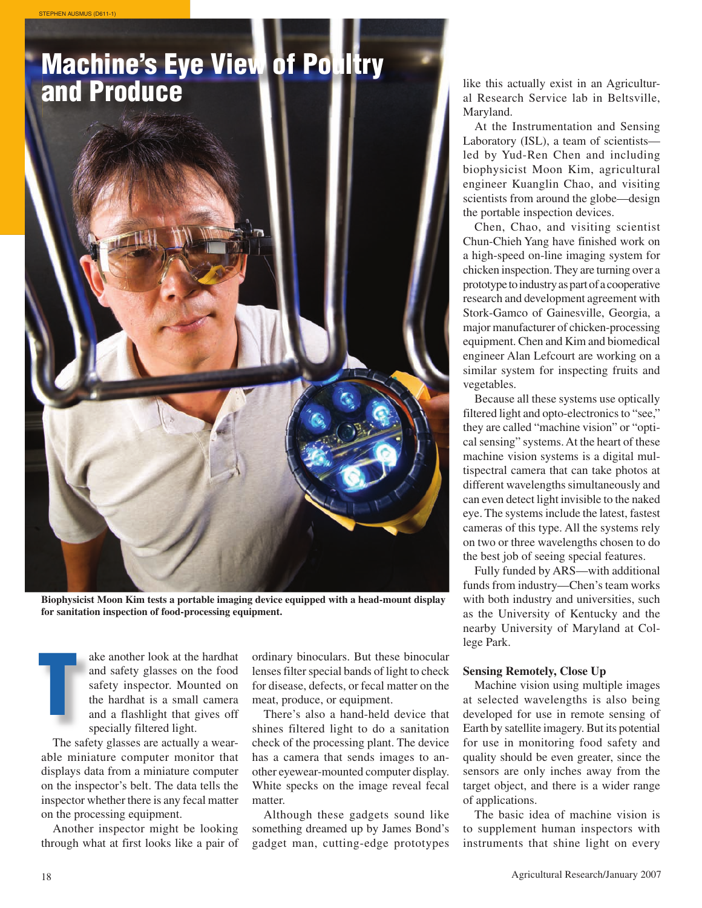

**Biophysicist Moon Kim tests a portable imaging device equipped with a head-mount display for sanitation inspection of food-processing equipment.**

**THEREN SERVING SERVING SERVING SERVING SERVING SERVING SERVING SERVING SERVING SERVING SERVING SERVING SERVING SERVING SERVING SERVING SERVING SERVING SERVING SERVING SERVING SERVING SERVING SERVING SERVING SERVING SERVIN** ake another look at the hardhat and safety glasses on the food safety inspector. Mounted on the hardhat is a small camera and a flashlight that gives off specially filtered light.

The safety glasses are actually a wearable miniature computer monitor that displays data from a miniature computer on the inspector's belt. The data tells the inspector whether there is any fecal matter on the processing equipment.

Another inspector might be looking through what at first looks like a pair of lenses filter special bands of light to check for disease, defects, or fecal matter on the meat, produce, or equipment.

There's also a hand-held device that shines filtered light to do a sanitation check of the processing plant. The device has a camera that sends images to another eyewear-mounted computer display. White specks on the image reveal fecal matter.

Although these gadgets sound like something dreamed up by James Bond's gadget man, cutting-edge prototypes

al Research Service lab in Beltsville, Maryland.

At the Instrumentation and Sensing Laboratory (ISL), a team of scientists led by Yud-Ren Chen and including biophysicist Moon Kim, agricultural engineer Kuanglin Chao, and visiting scientists from around the globe—design the portable inspection devices.

Chen, Chao, and visiting scientist Chun-Chieh Yang have finished work on a high-speed on-line imaging system for chicken inspection. They are turning over a prototype to industry as part of a cooperative research and development agreement with Stork-Gamco of Gainesville, Georgia, a major manufacturer of chicken-processing equipment. Chen and Kim and biomedical engineer Alan Lefcourt are working on a similar system for inspecting fruits and vegetables.

Because all these systems use optically filtered light and opto-electronics to "see," they are called "machine vision" or "optical sensing" systems. At the heart of these machine vision systems is a digital multispectral camera that can take photos at different wavelengths simultaneously and can even detect light invisible to the naked eye. The systems include the latest, fastest cameras of this type. All the systems rely on two or three wavelengths chosen to do the best job of seeing special features.

Fully funded by ARS—with additional funds from industry—Chen's team works with both industry and universities, such as the University of Kentucky and the nearby University of Maryland at College Park.

## **Sensing Remotely, Close Up**

Machine vision using multiple images at selected wavelengths is also being developed for use in remote sensing of Earth by satellite imagery. But its potential for use in monitoring food safety and quality should be even greater, since the sensors are only inches away from the target object, and there is a wider range of applications.

The basic idea of machine vision is to supplement human inspectors with instruments that shine light on every

STEPHEN AUSMUS (D611-1)